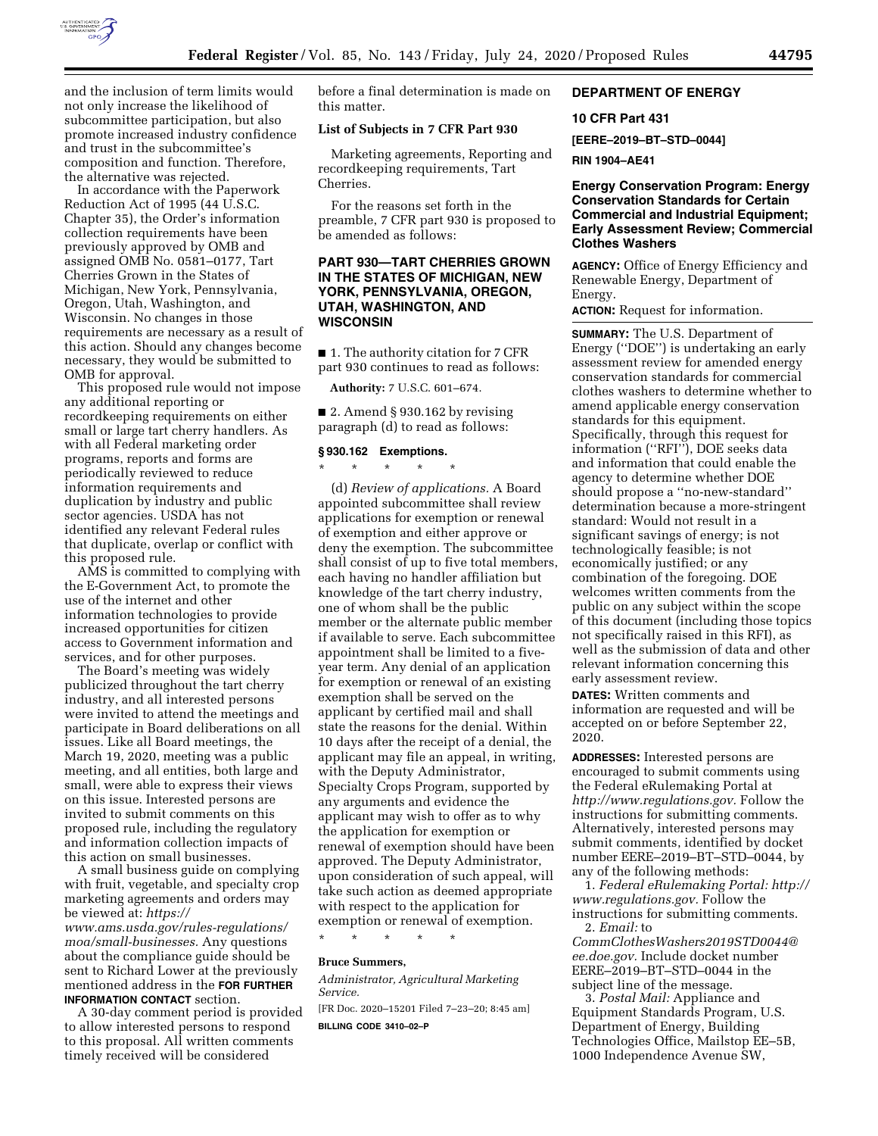

and the inclusion of term limits would not only increase the likelihood of subcommittee participation, but also promote increased industry confidence and trust in the subcommittee's composition and function. Therefore, the alternative was rejected.

In accordance with the Paperwork Reduction Act of 1995 (44 U.S.C. Chapter 35), the Order's information collection requirements have been previously approved by OMB and assigned OMB No. 0581–0177, Tart Cherries Grown in the States of Michigan, New York, Pennsylvania, Oregon, Utah, Washington, and Wisconsin. No changes in those requirements are necessary as a result of this action. Should any changes become necessary, they would be submitted to OMB for approval.

This proposed rule would not impose any additional reporting or recordkeeping requirements on either small or large tart cherry handlers. As with all Federal marketing order programs, reports and forms are periodically reviewed to reduce information requirements and duplication by industry and public sector agencies. USDA has not identified any relevant Federal rules that duplicate, overlap or conflict with this proposed rule.

AMS is committed to complying with the E-Government Act, to promote the use of the internet and other information technologies to provide increased opportunities for citizen access to Government information and services, and for other purposes.

The Board's meeting was widely publicized throughout the tart cherry industry, and all interested persons were invited to attend the meetings and participate in Board deliberations on all issues. Like all Board meetings, the March 19, 2020, meeting was a public meeting, and all entities, both large and small, were able to express their views on this issue. Interested persons are invited to submit comments on this proposed rule, including the regulatory and information collection impacts of this action on small businesses.

A small business guide on complying with fruit, vegetable, and specialty crop marketing agreements and orders may be viewed at: *[https://](https://www.ams.usda.gov/rules-regulations/moa/small-businesses)* 

*[www.ams.usda.gov/rules-regulations/](https://www.ams.usda.gov/rules-regulations/moa/small-businesses)  [moa/small-businesses.](https://www.ams.usda.gov/rules-regulations/moa/small-businesses)* Any questions about the compliance guide should be sent to Richard Lower at the previously mentioned address in the **FOR FURTHER INFORMATION CONTACT** section.

A 30-day comment period is provided to allow interested persons to respond to this proposal. All written comments timely received will be considered

before a final determination is made on this matter.

## **List of Subjects in 7 CFR Part 930**

Marketing agreements, Reporting and recordkeeping requirements, Tart Cherries.

For the reasons set forth in the preamble, 7 CFR part 930 is proposed to be amended as follows:

# **PART 930—TART CHERRIES GROWN IN THE STATES OF MICHIGAN, NEW YORK, PENNSYLVANIA, OREGON, UTAH, WASHINGTON, AND WISCONSIN**

■ 1. The authority citation for 7 CFR part 930 continues to read as follows:

**Authority:** 7 U.S.C. 601–674.

■ 2. Amend § 930.162 by revising paragraph (d) to read as follows:

### **§ 930.162 Exemptions.**

\* \* \* \* \* (d) *Review of applications.* A Board appointed subcommittee shall review applications for exemption or renewal of exemption and either approve or deny the exemption. The subcommittee shall consist of up to five total members, each having no handler affiliation but knowledge of the tart cherry industry, one of whom shall be the public member or the alternate public member if available to serve. Each subcommittee appointment shall be limited to a fiveyear term. Any denial of an application for exemption or renewal of an existing exemption shall be served on the applicant by certified mail and shall state the reasons for the denial. Within 10 days after the receipt of a denial, the applicant may file an appeal, in writing, with the Deputy Administrator, Specialty Crops Program, supported by any arguments and evidence the applicant may wish to offer as to why the application for exemption or renewal of exemption should have been approved. The Deputy Administrator, upon consideration of such appeal, will take such action as deemed appropriate with respect to the application for exemption or renewal of exemption.

\* \* \* \* \*

# **Bruce Summers,**

*Administrator, Agricultural Marketing Service.* 

[FR Doc. 2020–15201 Filed 7–23–20; 8:45 am] **BILLING CODE 3410–02–P** 

# **DEPARTMENT OF ENERGY**

# **10 CFR Part 431**

**[EERE–2019–BT–STD–0044]** 

**RIN 1904–AE41** 

# **Energy Conservation Program: Energy Conservation Standards for Certain Commercial and Industrial Equipment; Early Assessment Review; Commercial Clothes Washers**

**AGENCY:** Office of Energy Efficiency and Renewable Energy, Department of Energy.

**ACTION:** Request for information.

**SUMMARY:** The U.S. Department of Energy (''DOE'') is undertaking an early assessment review for amended energy conservation standards for commercial clothes washers to determine whether to amend applicable energy conservation standards for this equipment. Specifically, through this request for information (''RFI''), DOE seeks data and information that could enable the agency to determine whether DOE should propose a ''no-new-standard'' determination because a more-stringent standard: Would not result in a significant savings of energy; is not technologically feasible; is not economically justified; or any combination of the foregoing. DOE welcomes written comments from the public on any subject within the scope of this document (including those topics not specifically raised in this RFI), as well as the submission of data and other relevant information concerning this early assessment review.

**DATES:** Written comments and information are requested and will be accepted on or before September 22, 2020.

**ADDRESSES:** Interested persons are encouraged to submit comments using the Federal eRulemaking Portal at *[http://www.regulations.gov.](http://www.regulations.gov)* Follow the instructions for submitting comments. Alternatively, interested persons may submit comments, identified by docket number EERE–2019–BT–STD–0044, by any of the following methods:

1. *Federal eRulemaking Portal: [http://](http://www.regulations.gov)  [www.regulations.gov.](http://www.regulations.gov)* Follow the instructions for submitting comments. 2. *Email:* to

*[CommClothesWashers2019STD0044@](mailto:CommClothesWashers2019STD0044@ee.doe.gov) [ee.doe.gov.](mailto:CommClothesWashers2019STD0044@ee.doe.gov)* Include docket number EERE–2019–BT–STD–0044 in the subject line of the message.

3. *Postal Mail:* Appliance and Equipment Standards Program, U.S. Department of Energy, Building Technologies Office, Mailstop EE–5B, 1000 Independence Avenue SW,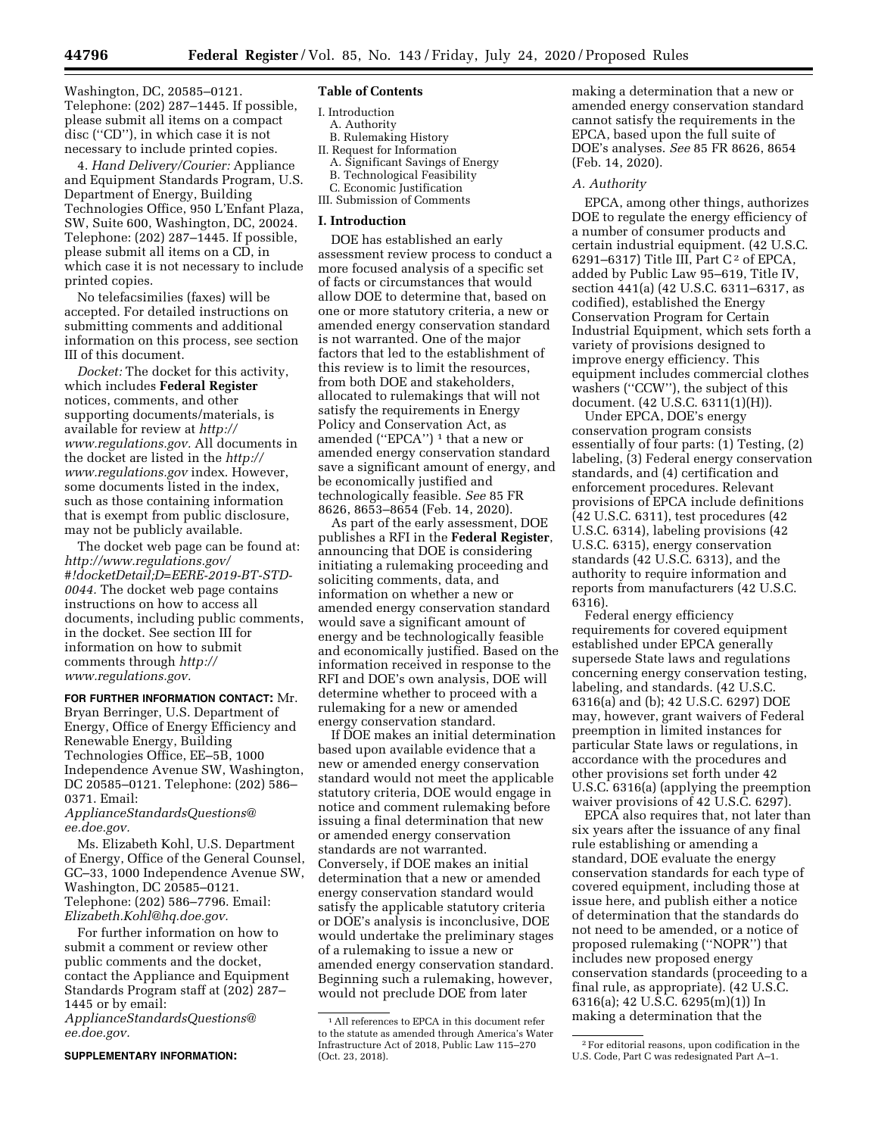Washington, DC, 20585–0121. Telephone: (202) 287–1445. If possible, please submit all items on a compact disc (''CD''), in which case it is not necessary to include printed copies.

4. *Hand Delivery/Courier:* Appliance and Equipment Standards Program, U.S. Department of Energy, Building Technologies Office, 950 L'Enfant Plaza, SW, Suite 600, Washington, DC, 20024. Telephone: (202) 287–1445. If possible, please submit all items on a CD, in which case it is not necessary to include printed copies.

No telefacsimilies (faxes) will be accepted. For detailed instructions on submitting comments and additional information on this process, see section III of this document.

*Docket:* The docket for this activity, which includes **Federal Register**  notices, comments, and other supporting documents/materials, is available for review at *[http://](http://www.regulations.gov) [www.regulations.gov.](http://www.regulations.gov)* All documents in the docket are listed in the *[http://](http://www.regulations.gov)  [www.regulations.gov](http://www.regulations.gov)* index. However, some documents listed in the index, such as those containing information that is exempt from public disclosure, may not be publicly available.

The docket web page can be found at: *[http://www.regulations.gov/](http://www.regulations.gov/#!docketDetail;D=EERE-2019-BT-STD-0044)  [#!docketDetail;D=EERE-2019-BT-STD-](http://www.regulations.gov/#!docketDetail;D=EERE-2019-BT-STD-0044)[0044.](http://www.regulations.gov/#!docketDetail;D=EERE-2019-BT-STD-0044)* The docket web page contains instructions on how to access all documents, including public comments, in the docket. See section III for information on how to submit comments through *[http://](http://www.regulations.gov) [www.regulations.gov.](http://www.regulations.gov)* 

## **FOR FURTHER INFORMATION CONTACT:** Mr.

Bryan Berringer, U.S. Department of Energy, Office of Energy Efficiency and Renewable Energy, Building Technologies Office, EE–5B, 1000 Independence Avenue SW, Washington, DC 20585–0121. Telephone: (202) 586– 0371. Email:

*[ApplianceStandardsQuestions@](mailto:ApplianceStandardsQuestions@ee.doe.gov) [ee.doe.gov.](mailto:ApplianceStandardsQuestions@ee.doe.gov)* 

Ms. Elizabeth Kohl, U.S. Department of Energy, Office of the General Counsel, GC–33, 1000 Independence Avenue SW, Washington, DC 20585–0121. Telephone: (202) 586–7796. Email: *[Elizabeth.Kohl@hq.doe.gov.](mailto:Elizabeth.Kohl@hq.doe.gov)* 

For further information on how to submit a comment or review other public comments and the docket, contact the Appliance and Equipment Standards Program staff at (202) 287– 1445 or by email:

*[ApplianceStandardsQuestions@](mailto:ApplianceStandardsQuestions@ee.doe.gov) [ee.doe.gov.](mailto:ApplianceStandardsQuestions@ee.doe.gov)* 

**SUPPLEMENTARY INFORMATION:** 

### **Table of Contents**

I. Introduction A. Authority B. Rulemaking History II. Request for Information A. Significant Savings of Energy

- B. Technological Feasibility
- C. Economic Justification
- III. Submission of Comments

#### **I. Introduction**

DOE has established an early assessment review process to conduct a more focused analysis of a specific set of facts or circumstances that would allow DOE to determine that, based on one or more statutory criteria, a new or amended energy conservation standard is not warranted. One of the major factors that led to the establishment of this review is to limit the resources, from both DOE and stakeholders, allocated to rulemakings that will not satisfy the requirements in Energy Policy and Conservation Act, as amended ("EPCA")<sup>1</sup> that a new or amended energy conservation standard save a significant amount of energy, and be economically justified and technologically feasible. *See* 85 FR 8626, 8653–8654 (Feb. 14, 2020).

As part of the early assessment, DOE publishes a RFI in the **Federal Register**, announcing that DOE is considering initiating a rulemaking proceeding and soliciting comments, data, and information on whether a new or amended energy conservation standard would save a significant amount of energy and be technologically feasible and economically justified. Based on the information received in response to the RFI and DOE's own analysis, DOE will determine whether to proceed with a rulemaking for a new or amended energy conservation standard.

If DOE makes an initial determination based upon available evidence that a new or amended energy conservation standard would not meet the applicable statutory criteria, DOE would engage in notice and comment rulemaking before issuing a final determination that new or amended energy conservation standards are not warranted. Conversely, if DOE makes an initial determination that a new or amended energy conservation standard would satisfy the applicable statutory criteria or DOE's analysis is inconclusive, DOE would undertake the preliminary stages of a rulemaking to issue a new or amended energy conservation standard. Beginning such a rulemaking, however, would not preclude DOE from later

making a determination that a new or amended energy conservation standard cannot satisfy the requirements in the EPCA, based upon the full suite of DOE's analyses. *See* 85 FR 8626, 8654 (Feb. 14, 2020).

#### *A. Authority*

EPCA, among other things, authorizes DOE to regulate the energy efficiency of a number of consumer products and certain industrial equipment. (42 U.S.C. 6291–6317) Title III, Part  $C^2$  of EPCA, added by Public Law 95–619, Title IV, section 441(a) (42 U.S.C. 6311–6317, as codified), established the Energy Conservation Program for Certain Industrial Equipment, which sets forth a variety of provisions designed to improve energy efficiency. This equipment includes commercial clothes washers (''CCW''), the subject of this document. (42 U.S.C. 6311(1)(H)).

Under EPCA, DOE's energy conservation program consists essentially of four parts: (1) Testing, (2) labeling, (3) Federal energy conservation standards, and (4) certification and enforcement procedures. Relevant provisions of EPCA include definitions (42 U.S.C. 6311), test procedures (42 U.S.C. 6314), labeling provisions (42 U.S.C. 6315), energy conservation standards (42 U.S.C. 6313), and the authority to require information and reports from manufacturers (42 U.S.C. 6316).

Federal energy efficiency requirements for covered equipment established under EPCA generally supersede State laws and regulations concerning energy conservation testing, labeling, and standards. (42 U.S.C. 6316(a) and (b); 42 U.S.C. 6297) DOE may, however, grant waivers of Federal preemption in limited instances for particular State laws or regulations, in accordance with the procedures and other provisions set forth under 42 U.S.C. 6316(a) (applying the preemption waiver provisions of 42 U.S.C. 6297).

EPCA also requires that, not later than six years after the issuance of any final rule establishing or amending a standard, DOE evaluate the energy conservation standards for each type of covered equipment, including those at issue here, and publish either a notice of determination that the standards do not need to be amended, or a notice of proposed rulemaking (''NOPR'') that includes new proposed energy conservation standards (proceeding to a final rule, as appropriate). (42 U.S.C. 6316(a); 42 U.S.C. 6295(m)(1)) In making a determination that the

<sup>1</sup>All references to EPCA in this document refer to the statute as amended through America's Water Infrastructure Act of 2018, Public Law 115–270 (Oct. 23, 2018).

<sup>2</sup>For editorial reasons, upon codification in the U.S. Code, Part C was redesignated Part A–1.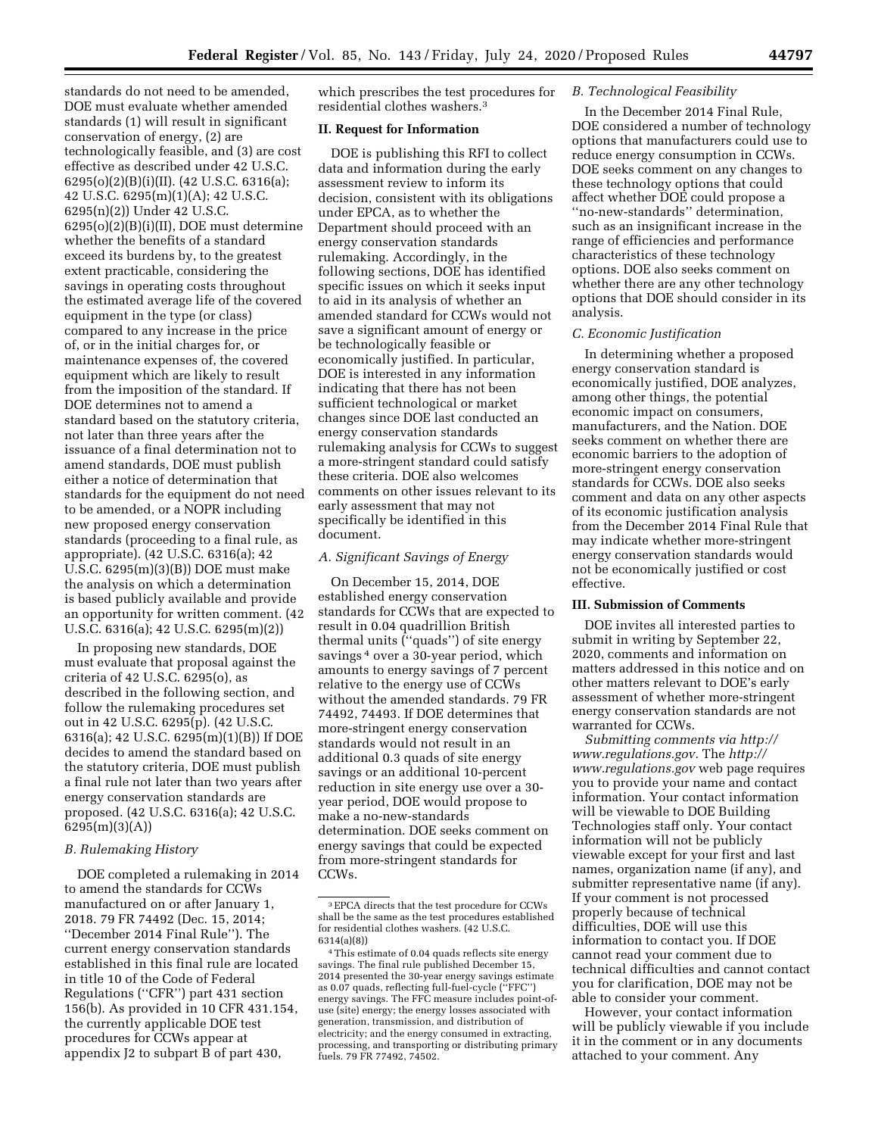standards do not need to be amended, DOE must evaluate whether amended standards (1) will result in significant conservation of energy, (2) are technologically feasible, and (3) are cost effective as described under 42 U.S.C. 6295(o)(2)(B)(i)(II). (42 U.S.C. 6316(a); 42 U.S.C. 6295(m)(1)(A); 42 U.S.C. 6295(n)(2)) Under 42 U.S.C. 6295(o)(2)(B)(i)(II), DOE must determine whether the benefits of a standard exceed its burdens by, to the greatest extent practicable, considering the savings in operating costs throughout the estimated average life of the covered equipment in the type (or class) compared to any increase in the price of, or in the initial charges for, or maintenance expenses of, the covered equipment which are likely to result from the imposition of the standard. If DOE determines not to amend a standard based on the statutory criteria, not later than three years after the issuance of a final determination not to amend standards, DOE must publish either a notice of determination that standards for the equipment do not need to be amended, or a NOPR including new proposed energy conservation standards (proceeding to a final rule, as appropriate). (42 U.S.C. 6316(a); 42 U.S.C. 6295(m)(3)(B)) DOE must make the analysis on which a determination is based publicly available and provide an opportunity for written comment. (42 U.S.C. 6316(a); 42 U.S.C. 6295(m)(2))

In proposing new standards, DOE must evaluate that proposal against the criteria of 42 U.S.C. 6295(o), as described in the following section, and follow the rulemaking procedures set out in 42 U.S.C. 6295(p). (42 U.S.C. 6316(a); 42 U.S.C. 6295(m)(1)(B)) If DOE decides to amend the standard based on the statutory criteria, DOE must publish a final rule not later than two years after energy conservation standards are proposed. (42 U.S.C. 6316(a); 42 U.S.C. 6295(m)(3)(A))

# *B. Rulemaking History*

DOE completed a rulemaking in 2014 to amend the standards for CCWs manufactured on or after January 1, 2018. 79 FR 74492 (Dec. 15, 2014; ''December 2014 Final Rule''). The current energy conservation standards established in this final rule are located in title 10 of the Code of Federal Regulations (''CFR'') part 431 section 156(b). As provided in 10 CFR 431.154, the currently applicable DOE test procedures for CCWs appear at appendix J2 to subpart B of part 430,

which prescribes the test procedures for residential clothes washers.3

# **II. Request for Information**

DOE is publishing this RFI to collect data and information during the early assessment review to inform its decision, consistent with its obligations under EPCA, as to whether the Department should proceed with an energy conservation standards rulemaking. Accordingly, in the following sections, DOE has identified specific issues on which it seeks input to aid in its analysis of whether an amended standard for CCWs would not save a significant amount of energy or be technologically feasible or economically justified. In particular, DOE is interested in any information indicating that there has not been sufficient technological or market changes since DOE last conducted an energy conservation standards rulemaking analysis for CCWs to suggest a more-stringent standard could satisfy these criteria. DOE also welcomes comments on other issues relevant to its early assessment that may not specifically be identified in this document.

# *A. Significant Savings of Energy*

On December 15, 2014, DOE established energy conservation standards for CCWs that are expected to result in 0.04 quadrillion British thermal units (''quads'') of site energy savings<sup>4</sup> over a 30-year period, which amounts to energy savings of 7 percent relative to the energy use of CCWs without the amended standards. 79 FR 74492, 74493. If DOE determines that more-stringent energy conservation standards would not result in an additional 0.3 quads of site energy savings or an additional 10-percent reduction in site energy use over a 30 year period, DOE would propose to make a no-new-standards determination. DOE seeks comment on energy savings that could be expected from more-stringent standards for CCWs.

## *B. Technological Feasibility*

In the December 2014 Final Rule, DOE considered a number of technology options that manufacturers could use to reduce energy consumption in CCWs. DOE seeks comment on any changes to these technology options that could affect whether DOE could propose a ''no-new-standards'' determination, such as an insignificant increase in the range of efficiencies and performance characteristics of these technology options. DOE also seeks comment on whether there are any other technology options that DOE should consider in its analysis.

### *C. Economic Justification*

In determining whether a proposed energy conservation standard is economically justified, DOE analyzes, among other things, the potential economic impact on consumers, manufacturers, and the Nation. DOE seeks comment on whether there are economic barriers to the adoption of more-stringent energy conservation standards for CCWs. DOE also seeks comment and data on any other aspects of its economic justification analysis from the December 2014 Final Rule that may indicate whether more-stringent energy conservation standards would not be economically justified or cost effective.

# **III. Submission of Comments**

DOE invites all interested parties to submit in writing by September 22, 2020, comments and information on matters addressed in this notice and on other matters relevant to DOE's early assessment of whether more-stringent energy conservation standards are not warranted for CCWs.

*Submitting comments via [http://](http://www.regulations.gov)  [www.regulations.gov.](http://www.regulations.gov)* The *[http://](http://www.regulations.gov)  [www.regulations.gov](http://www.regulations.gov)* web page requires you to provide your name and contact information. Your contact information will be viewable to DOE Building Technologies staff only. Your contact information will not be publicly viewable except for your first and last names, organization name (if any), and submitter representative name (if any). If your comment is not processed properly because of technical difficulties, DOE will use this information to contact you. If DOE cannot read your comment due to technical difficulties and cannot contact you for clarification, DOE may not be able to consider your comment.

However, your contact information will be publicly viewable if you include it in the comment or in any documents attached to your comment. Any

<sup>3</sup>EPCA directs that the test procedure for CCWs shall be the same as the test procedures established for residential clothes washers. (42 U.S.C. 6314(a)(8))

<sup>4</sup>This estimate of 0.04 quads reflects site energy savings. The final rule published December 15, 2014 presented the 30-year energy savings estimate as 0.07 quads, reflecting full-fuel-cycle (''FFC'') energy savings. The FFC measure includes point-ofuse (site) energy; the energy losses associated with generation, transmission, and distribution of electricity; and the energy consumed in extracting, processing, and transporting or distributing primary fuels. 79 FR 77492, 74502.